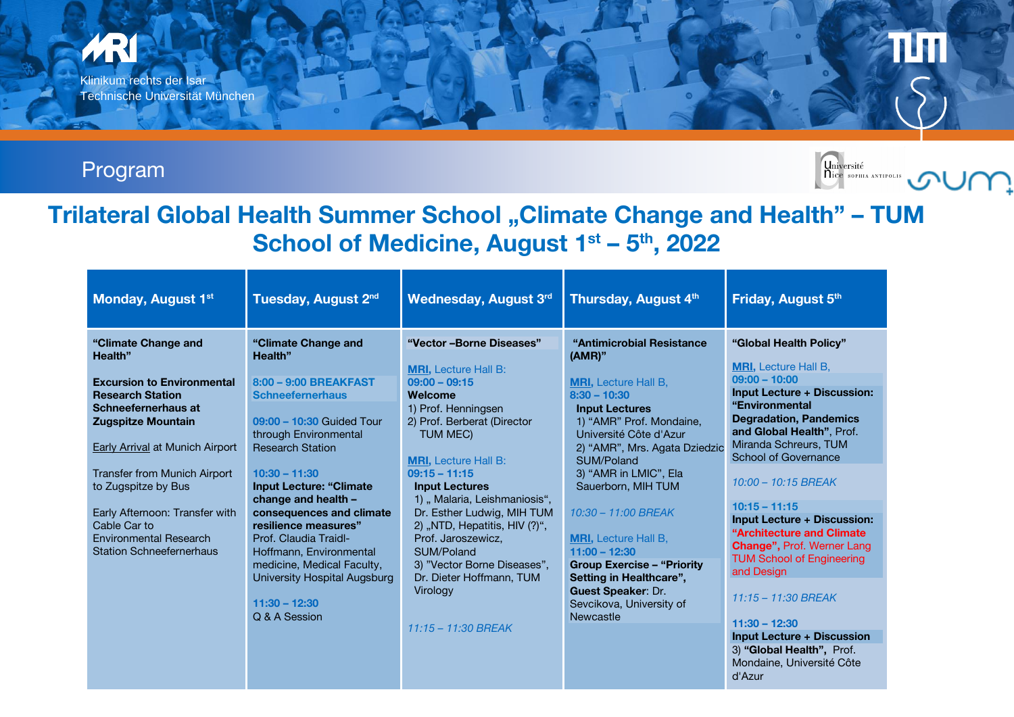## Program

KRI

Klinikum rechts der Isar

Technische Universität München



TÛT

## **Trilateral Global Health Summer School "Climate Change and Health" – TUM School of Medicine, August 1st – 5 th, 2022**

| Tuesday, August 2 <sup>nd</sup><br><b>Monday, August 1st</b><br>Wednesday, August 3rd                                                                                                                                                                                                                                                                                                                                                                                                                                                                                                                                                                                                                                                                                                                                                                                                                                                                                                                                                                                                                                                                                                                                                                                                                                                                                                                                                                            | Thursday, August 4th<br>Friday, August 5th                                                                                                                                                                                                                                                                                                                                                                                                                                                                                                                                                                                                                                                                                                                                                                                                                                                                                                                         |
|------------------------------------------------------------------------------------------------------------------------------------------------------------------------------------------------------------------------------------------------------------------------------------------------------------------------------------------------------------------------------------------------------------------------------------------------------------------------------------------------------------------------------------------------------------------------------------------------------------------------------------------------------------------------------------------------------------------------------------------------------------------------------------------------------------------------------------------------------------------------------------------------------------------------------------------------------------------------------------------------------------------------------------------------------------------------------------------------------------------------------------------------------------------------------------------------------------------------------------------------------------------------------------------------------------------------------------------------------------------------------------------------------------------------------------------------------------------|--------------------------------------------------------------------------------------------------------------------------------------------------------------------------------------------------------------------------------------------------------------------------------------------------------------------------------------------------------------------------------------------------------------------------------------------------------------------------------------------------------------------------------------------------------------------------------------------------------------------------------------------------------------------------------------------------------------------------------------------------------------------------------------------------------------------------------------------------------------------------------------------------------------------------------------------------------------------|
| "Vector-Borne Diseases"<br>"Climate Change and<br>"Climate Change and<br><b>Health</b> "<br>$(AMR)$ "<br>Health"<br><b>MRI.</b> Lecture Hall B:<br><b>Excursion to Environmental</b><br>8:00 - 9:00 BREAKFAST<br>$09:00 - 09:15$<br><b>Schneefernerhaus</b><br><b>Research Station</b><br>$8:30 - 10:30$<br>Welcome<br>Schneefernerhaus at<br><b>Input Lectures</b><br>1) Prof. Henningsen<br>09:00 - 10:30 Guided Tour<br><b>Zugspitze Mountain</b><br>2) Prof. Berberat (Director<br>through Environmental<br>TUM MEC)<br><b>Research Station</b><br><b>Early Arrival at Munich Airport</b><br>SUM/Poland<br><b>MRI.</b> Lecture Hall B:<br><b>Transfer from Munich Airport</b><br>$10:30 - 11:30$<br>$09:15 - 11:15$<br>to Zugspitze by Bus<br><b>Input Lecture: "Climate</b><br><b>Input Lectures</b><br>change and health -<br>1), Malaria, Leishmaniosis",<br>Early Afternoon: Transfer with<br>consequences and climate<br>Dr. Esther Ludwig, MIH TUM<br>Cable Car to<br>resilience measures"<br>2) "NTD, Hepatitis, HIV (?)",<br><b>Environmental Research</b><br>Prof. Jaroszewicz,<br>Prof. Claudia Traidl-<br><b>Station Schneefernerhaus</b><br>Hoffmann, Environmental<br>SUM/Poland<br>$11:00 - 12:30$<br>3) "Vector Borne Diseases",<br>medicine, Medical Faculty,<br>Dr. Dieter Hoffmann, TUM<br>University Hospital Augsburg<br><b>Guest Speaker: Dr.</b><br>Virology<br>$11:30 - 12:30$<br>Q & A Session<br>Newcastle<br>$11:15 - 11:30$ BREAK | "Antimicrobial Resistance<br>"Global Health Policy"<br><b>MRI, Lecture Hall B.</b><br>$09:00 - 10:00$<br><b>MRI, Lecture Hall B.</b><br><b>Input Lecture + Discussion:</b><br>"Environmental<br><b>Degradation, Pandemics</b><br>1) "AMR" Prof. Mondaine,<br>and Global Health", Prof.<br>Université Côte d'Azur<br>Miranda Schreurs, TUM<br>2) "AMR", Mrs. Agata Dziedzic<br><b>School of Governance</b><br>3) "AMR in LMIC", Ela<br>10:00 - 10:15 BREAK<br>Sauerborn, MIH TUM<br>$10:15 - 11:15$<br>10:30 - 11:00 BREAK<br><b>Input Lecture + Discussion:</b><br>"Architecture and Climate"<br><b>MRI, Lecture Hall B.</b><br><b>Change", Prof. Werner Lang</b><br><b>TUM School of Engineering</b><br><b>Group Exercise - "Priority</b><br>and Design<br>Setting in Healthcare",<br>11:15 - 11:30 BREAK<br>Sevcikova, University of<br>$11:30 - 12:30$<br><b>Input Lecture + Discussion</b><br>3) "Global Health", Prof.<br>Mondaine, Université Côte<br>d'Azur |